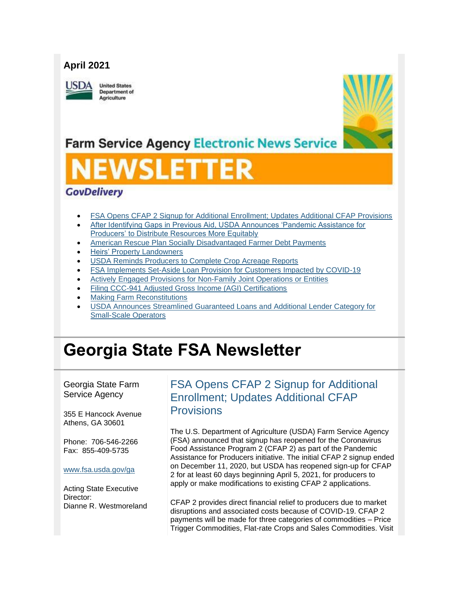## **April 2021**

JSDA

**United States** Department of Agriculture



## **Farm Service Agency Electronic News Service**

# SLET

## **GovDelivery**

- [FSA Opens CFAP 2 Signup for Additional Enrollment; Updates Additional CFAP Provisions](#page-0-0)
- [After Identifying Gaps in Previous Aid, USDA Announces 'Pandemic Assistance for](#page-2-0)  [Producers' to Distribute Resources More Equitably](#page-2-0)
- [American Rescue Plan Socially Disadvantaged Farmer Debt Payments](#page-4-0)
- **[Heirs' Property Landowners](#page-5-0)**
- [USDA Reminds Producers to Complete Crop Acreage Reports](#page-6-0)
- [FSA Implements Set-Aside Loan Provision for Customers Impacted by COVID-19](#page-7-0)
- [Actively Engaged Provisions for Non-Family Joint Operations or Entities](#page-7-1)
- [Filing CCC-941 Adjusted Gross Income \(AGI\) Certifications](#page-8-0)
- [Making Farm Reconstitutions](#page-9-0)
- [USDA Announces Streamlined Guaranteed Loans and Additional Lender Category for](#page-9-1)  [Small-Scale Operators](#page-9-1)

## **Georgia State FSA Newsletter**

Georgia State Farm Service Agency

355 E Hancock Avenue Athens, GA 30601

Phone: 706-546-2266 Fax: 855-409-5735

#### [www.fsa.usda.gov/ga](https://gcc02.safelinks.protection.outlook.com/?url=http%3A%2F%2Fwww.fsa.usda.gov%2Fxx%3Futm_medium%3Demail%26utm_source%3Dgovdelivery&data=04%7C01%7C%7Cc4281185f1f6471adb5708d90436dd8a%7Ced5b36e701ee4ebc867ee03cfa0d4697%7C0%7C1%7C637545455965869718%7CUnknown%7CTWFpbGZsb3d8eyJWIjoiMC4wLjAwMDAiLCJQIjoiV2luMzIiLCJBTiI6Ik1haWwiLCJXVCI6Mn0%3D%7C2000&sdata=yowM4PLxD4v1fY3K3pAhDMT60BKnQOgZ9q4gkJ6VNGg%3D&reserved=0)

Acting State Executive Director: Dianne R. Westmoreland <span id="page-0-0"></span>FSA Opens CFAP 2 Signup for Additional Enrollment; Updates Additional CFAP **Provisions** 

The U.S. Department of Agriculture (USDA) Farm Service Agency (FSA) announced that signup has reopened for the Coronavirus Food Assistance Program 2 (CFAP 2) as part of the Pandemic Assistance for Producers initiative. The initial CFAP 2 signup ended on December 11, 2020, but USDA has reopened sign-up for CFAP 2 for at least 60 days beginning April 5, 2021, for producers to apply or make modifications to existing CFAP 2 applications.

CFAP 2 provides direct financial relief to producers due to market disruptions and associated costs because of COVID-19. CFAP 2 payments will be made for three categories of commodities – Price Trigger Commodities, Flat-rate Crops and Sales Commodities. Visit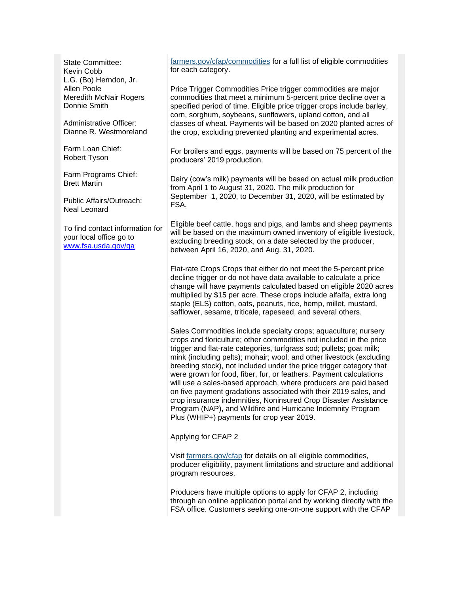State Committee: Kevin Cobb L.G. (Bo) Herndon, Jr. Allen Poole Meredith McNair Rogers Donnie Smith

Administrative Officer: Dianne R. Westmoreland

Farm Loan Chief: Robert Tyson

Farm Programs Chief: Brett Martin

Public Affairs/Outreach: Neal Leonard

To find contact information for your local office go to [www.fsa.usda.gov/ga](http://www.fsa.usda.gov/ga)

[farmers.gov/cfap/commodities](https://www.farmers.gov/cfap2/commodities?utm_medium=email&utm_source=govdelivery) for a full list of eligible commodities for each category.

Price Trigger Commodities Price trigger commodities are major commodities that meet a minimum 5-percent price decline over a specified period of time. Eligible price trigger crops include barley, corn, sorghum, soybeans, sunflowers, upland cotton, and all classes of wheat. Payments will be based on 2020 planted acres of the crop, excluding prevented planting and experimental acres.

For broilers and eggs, payments will be based on 75 percent of the producers' 2019 production.

Dairy (cow's milk) payments will be based on actual milk production from April 1 to August 31, 2020. The milk production for September 1, 2020, to December 31, 2020, will be estimated by FSA.

Eligible beef cattle, hogs and pigs, and lambs and sheep payments will be based on the maximum owned inventory of eligible livestock, excluding breeding stock, on a date selected by the producer, between April 16, 2020, and Aug. 31, 2020.

Flat-rate Crops Crops that either do not meet the 5-percent price decline trigger or do not have data available to calculate a price change will have payments calculated based on eligible 2020 acres multiplied by \$15 per acre. These crops include alfalfa, extra long staple (ELS) cotton, oats, peanuts, rice, hemp, millet, mustard, safflower, sesame, triticale, rapeseed, and several others.

Sales Commodities include specialty crops; aquaculture; nursery crops and floriculture; other commodities not included in the price trigger and flat-rate categories, turfgrass sod; pullets; goat milk; mink (including pelts); mohair; wool; and other livestock (excluding breeding stock), not included under the price trigger category that were grown for food, fiber, fur, or feathers. Payment calculations will use a sales-based approach, where producers are paid based on five payment gradations associated with their 2019 sales, and crop insurance indemnities, Noninsured Crop Disaster Assistance Program (NAP), and Wildfire and Hurricane Indemnity Program Plus (WHIP+) payments for crop year 2019.

Applying for CFAP 2

Visit [farmers.gov/cfap](https://www.farmers.gov/pandemic-assistance/cfap?utm_medium=email&utm_source=govdelivery) for details on all eligible commodities, producer eligibility, payment limitations and structure and additional program resources.

Producers have multiple options to apply for CFAP 2, including through an online application portal and by working directly with the FSA office. Customers seeking one-on-one support with the CFAP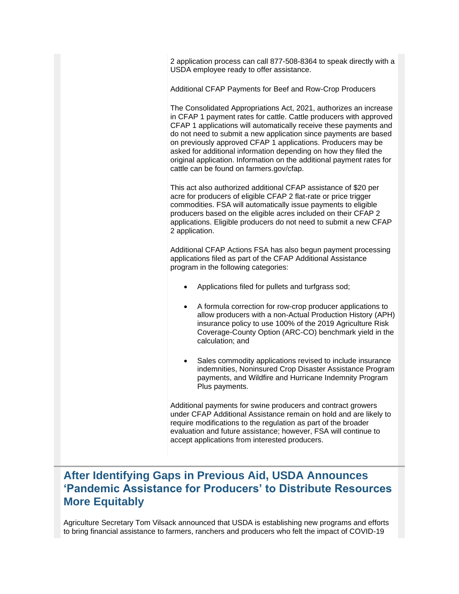2 application process can call 877-508-8364 to speak directly with a USDA employee ready to offer assistance.

Additional CFAP Payments for Beef and Row-Crop Producers

The Consolidated Appropriations Act, 2021, authorizes an increase in CFAP 1 payment rates for cattle. Cattle producers with approved CFAP 1 applications will automatically receive these payments and do not need to submit a new application since payments are based on previously approved CFAP 1 applications. Producers may be asked for additional information depending on how they filed the original application. Information on the additional payment rates for cattle can be found on farmers.gov/cfap.

This act also authorized additional CFAP assistance of \$20 per acre for producers of eligible CFAP 2 flat-rate or price trigger commodities. FSA will automatically issue payments to eligible producers based on the eligible acres included on their CFAP 2 applications. Eligible producers do not need to submit a new CFAP 2 application.

Additional CFAP Actions FSA has also begun payment processing applications filed as part of the CFAP Additional Assistance program in the following categories:

- Applications filed for pullets and turfgrass sod;
- A formula correction for row-crop producer applications to allow producers with a non-Actual Production History (APH) insurance policy to use 100% of the 2019 Agriculture Risk Coverage-County Option (ARC-CO) benchmark yield in the calculation; and
- Sales commodity applications revised to include insurance indemnities, Noninsured Crop Disaster Assistance Program payments, and Wildfire and Hurricane Indemnity Program Plus payments.

Additional payments for swine producers and contract growers under CFAP Additional Assistance remain on hold and are likely to require modifications to the regulation as part of the broader evaluation and future assistance; however, FSA will continue to accept applications from interested producers.

## <span id="page-2-0"></span>**After Identifying Gaps in Previous Aid, USDA Announces 'Pandemic Assistance for Producers' to Distribute Resources More Equitably**

Agriculture Secretary Tom Vilsack announced that USDA is establishing new programs and efforts to bring financial assistance to farmers, ranchers and producers who felt the impact of COVID-19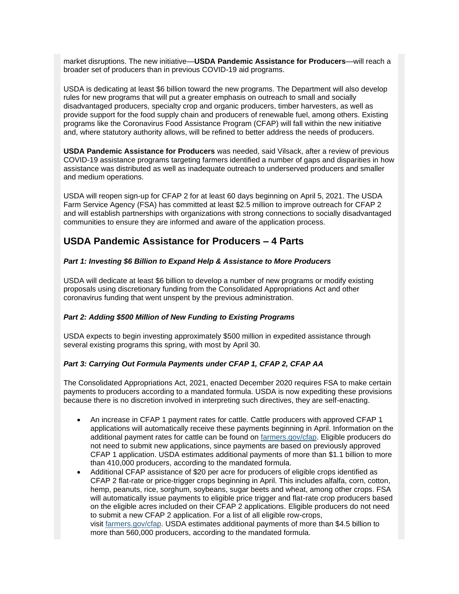market disruptions. The new initiative—**USDA Pandemic Assistance for Producers**—will reach a broader set of producers than in previous COVID-19 aid programs.

USDA is dedicating at least \$6 billion toward the new programs. The Department will also develop rules for new programs that will put a greater emphasis on outreach to small and socially disadvantaged producers, specialty crop and organic producers, timber harvesters, as well as provide support for the food supply chain and producers of renewable fuel, among others. Existing programs like the Coronavirus Food Assistance Program (CFAP) will fall within the new initiative and, where statutory authority allows, will be refined to better address the needs of producers.

**USDA Pandemic Assistance for Producers** was needed, said Vilsack, after a review of previous COVID-19 assistance programs targeting farmers identified a number of gaps and disparities in how assistance was distributed as well as inadequate outreach to underserved producers and smaller and medium operations.

USDA will reopen sign-up for CFAP 2 for at least 60 days beginning on April 5, 2021. The USDA Farm Service Agency (FSA) has committed at least \$2.5 million to improve outreach for CFAP 2 and will establish partnerships with organizations with strong connections to socially disadvantaged communities to ensure they are informed and aware of the application process.

### **USDA Pandemic Assistance for Producers – 4 Parts**

#### *Part 1: Investing \$6 Billion to Expand Help & Assistance to More Producers*

USDA will dedicate at least \$6 billion to develop a number of new programs or modify existing proposals using discretionary funding from the Consolidated Appropriations Act and other coronavirus funding that went unspent by the previous administration.

#### *Part 2: Adding \$500 Million of New Funding to Existing Programs*

USDA expects to begin investing approximately \$500 million in expedited assistance through several existing programs this spring, with most by April 30.

#### *Part 3: Carrying Out Formula Payments under CFAP 1, CFAP 2, CFAP AA*

The Consolidated Appropriations Act, 2021, enacted December 2020 requires FSA to make certain payments to producers according to a mandated formula. USDA is now expediting these provisions because there is no discretion involved in interpreting such directives, they are self-enacting.

- An increase in CFAP 1 payment rates for cattle. Cattle producers with approved CFAP 1 applications will automatically receive these payments beginning in April. Information on the additional payment rates for cattle can be found on [farmers.gov/cfap.](https://www.farmers.gov/cfap?utm_medium=email&utm_source=govdelivery) Eligible producers do not need to submit new applications, since payments are based on previously approved CFAP 1 application. USDA estimates additional payments of more than \$1.1 billion to more than 410,000 producers, according to the mandated formula.
- Additional CFAP assistance of \$20 per acre for producers of eligible crops identified as CFAP 2 flat-rate or price-trigger crops beginning in April. This includes alfalfa, corn, cotton, hemp, peanuts, rice, sorghum, soybeans, sugar beets and wheat, among other crops. FSA will automatically issue payments to eligible price trigger and flat-rate crop producers based on the eligible acres included on their CFAP 2 applications. Eligible producers do not need to submit a new CFAP 2 application. For a list of all eligible row-crops, visit [farmers.gov/cfap.](https://www.farmers.gov/cfap?utm_medium=email&utm_source=govdelivery) USDA estimates additional payments of more than \$4.5 billion to more than 560,000 producers, according to the mandated formula.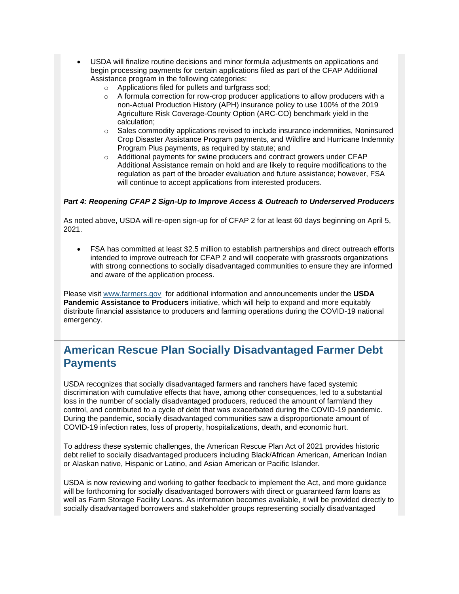- USDA will finalize routine decisions and minor formula adjustments on applications and begin processing payments for certain applications filed as part of the CFAP Additional Assistance program in the following categories:
	- o Applications filed for pullets and turfgrass sod;
	- $\circ$  A formula correction for row-crop producer applications to allow producers with a non-Actual Production History (APH) insurance policy to use 100% of the 2019 Agriculture Risk Coverage-County Option (ARC-CO) benchmark yield in the calculation;
	- $\circ$  Sales commodity applications revised to include insurance indemnities, Noninsured Crop Disaster Assistance Program payments, and Wildfire and Hurricane Indemnity Program Plus payments, as required by statute; and
	- o Additional payments for swine producers and contract growers under CFAP Additional Assistance remain on hold and are likely to require modifications to the regulation as part of the broader evaluation and future assistance; however, FSA will continue to accept applications from interested producers.

#### *Part 4: Reopening CFAP 2 Sign-Up to Improve Access & Outreach to Underserved Producers*

As noted above, USDA will re-open sign-up for of CFAP 2 for at least 60 days beginning on April 5, 2021.

• FSA has committed at least \$2.5 million to establish partnerships and direct outreach efforts intended to improve outreach for CFAP 2 and will cooperate with grassroots organizations with strong connections to socially disadvantaged communities to ensure they are informed and aware of the application process.

Please visit [www.farmers.gov](https://www.farmers.gov/?utm_medium=email&utm_source=govdelivery) for additional information and announcements under the **USDA Pandemic Assistance to Producers** initiative, which will help to expand and more equitably distribute financial assistance to producers and farming operations during the COVID-19 national emergency.

## <span id="page-4-0"></span>**American Rescue Plan Socially Disadvantaged Farmer Debt Payments**

USDA recognizes that socially disadvantaged farmers and ranchers have faced systemic discrimination with cumulative effects that have, among other consequences, led to a substantial loss in the number of socially disadvantaged producers, reduced the amount of farmland they control, and contributed to a cycle of debt that was exacerbated during the COVID-19 pandemic. During the pandemic, socially disadvantaged communities saw a disproportionate amount of COVID-19 infection rates, loss of property, hospitalizations, death, and economic hurt.

To address these systemic challenges, the American Rescue Plan Act of 2021 provides historic debt relief to socially disadvantaged producers including Black/African American, American Indian or Alaskan native, Hispanic or Latino, and Asian American or Pacific Islander.

USDA is now reviewing and working to gather feedback to implement the Act, and more guidance will be forthcoming for socially disadvantaged borrowers with direct or guaranteed farm loans as well as Farm Storage Facility Loans. As information becomes available, it will be provided directly to socially disadvantaged borrowers and stakeholder groups representing socially disadvantaged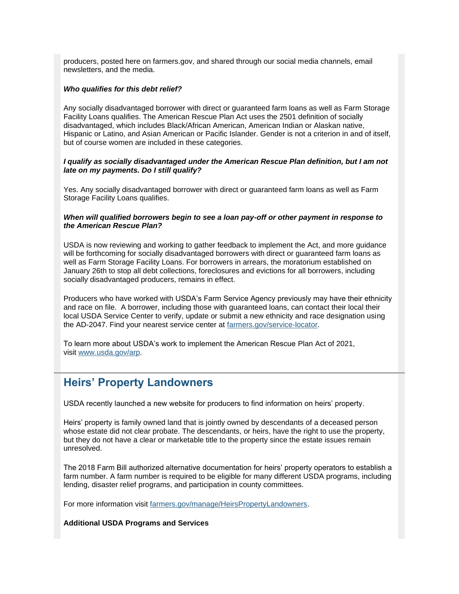producers, posted here on farmers.gov, and shared through our social media channels, email newsletters, and the media.

#### *Who qualifies for this debt relief?*

Any socially disadvantaged borrower with direct or guaranteed farm loans as well as Farm Storage Facility Loans qualifies. The American Rescue Plan Act uses the 2501 definition of socially disadvantaged, which includes Black/African American, American Indian or Alaskan native, Hispanic or Latino, and Asian American or Pacific Islander. Gender is not a criterion in and of itself, but of course women are included in these categories.

#### *I qualify as socially disadvantaged under the American Rescue Plan definition, but I am not late on my payments. Do I still qualify?*

Yes. Any socially disadvantaged borrower with direct or guaranteed farm loans as well as Farm Storage Facility Loans qualifies.

#### *When will qualified borrowers begin to see a loan pay-off or other payment in response to the American Rescue Plan?*

USDA is now reviewing and working to gather feedback to implement the Act, and more guidance will be forthcoming for socially disadvantaged borrowers with direct or guaranteed farm loans as well as Farm Storage Facility Loans. For borrowers in arrears, the moratorium established on January 26th to stop all debt collections, foreclosures and evictions for all borrowers, including socially disadvantaged producers, remains in effect.

Producers who have worked with USDA's Farm Service Agency previously may have their ethnicity and race on file. A borrower, including those with guaranteed loans, can contact their local their local USDA Service Center to verify, update or submit a new ethnicity and race designation using the AD-2047. Find your nearest service center at [farmers.gov/service-locator.](https://www.farmers.gov/service-center-locator?utm_medium=email&utm_source=govdelivery)

To learn more about USDA's work to implement the American Rescue Plan Act of 2021, visit [www.usda.gov/arp.](https://www.usda.gov/arp?utm_medium=email&utm_source=govdelivery)

## <span id="page-5-0"></span>**Heirs' Property Landowners**

USDA recently launched a new website for producers to find information on heirs' property.

Heirs' property is family owned land that is jointly owned by descendants of a deceased person whose estate did not clear probate. The descendants, or heirs, have the right to use the property, but they do not have a clear or marketable title to the property since the estate issues remain unresolved.

The 2018 Farm Bill authorized alternative documentation for heirs' property operators to establish a farm number. A farm number is required to be eligible for many different USDA programs, including lending, disaster relief programs, and participation in county committees.

For more information visit [farmers.gov/manage/HeirsPropertyLandowners.](https://www.farmers.gov/manage/HeirsPropertyLandowners?utm_medium=email&utm_source=govdelivery)

#### **Additional USDA Programs and Services**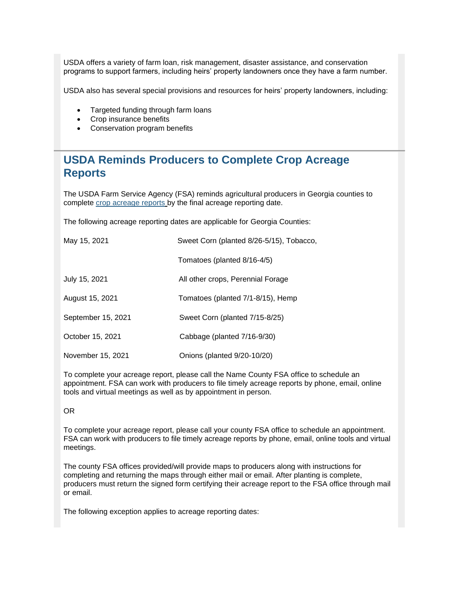USDA offers a variety of farm loan, risk management, disaster assistance, and conservation programs to support farmers, including heirs' property landowners once they have a farm number.

USDA also has several special provisions and resources for heirs' property landowners, including:

- Targeted funding through farm loans
- Crop insurance benefits
- Conservation program benefits

## <span id="page-6-0"></span>**USDA Reminds Producers to Complete Crop Acreage Reports**

The USDA Farm Service Agency (FSA) reminds agricultural producers in Georgia counties to complete [crop acreage reports](https://www.farmers.gov/crop-acreage-reports?utm_medium=email&utm_source=govdelivery) by the final acreage reporting date.

The following acreage reporting dates are applicable for Georgia Counties:

| May 15, 2021       | Sweet Corn (planted 8/26-5/15), Tobacco, |
|--------------------|------------------------------------------|
|                    | Tomatoes (planted 8/16-4/5)              |
| July 15, 2021      | All other crops, Perennial Forage        |
| August 15, 2021    | Tomatoes (planted 7/1-8/15), Hemp        |
| September 15, 2021 | Sweet Corn (planted 7/15-8/25)           |
| October 15, 2021   | Cabbage (planted 7/16-9/30)              |
| November 15, 2021  | Onions (planted 9/20-10/20)              |

To complete your acreage report, please call the Name County FSA office to schedule an appointment. FSA can work with producers to file timely acreage reports by phone, email, online tools and virtual meetings as well as by appointment in person.

#### OR

To complete your acreage report, please call your county FSA office to schedule an appointment. FSA can work with producers to file timely acreage reports by phone, email, online tools and virtual meetings.

The county FSA offices provided/will provide maps to producers along with instructions for completing and returning the maps through either mail or email. After planting is complete, producers must return the signed form certifying their acreage report to the FSA office through mail or email.

The following exception applies to acreage reporting dates: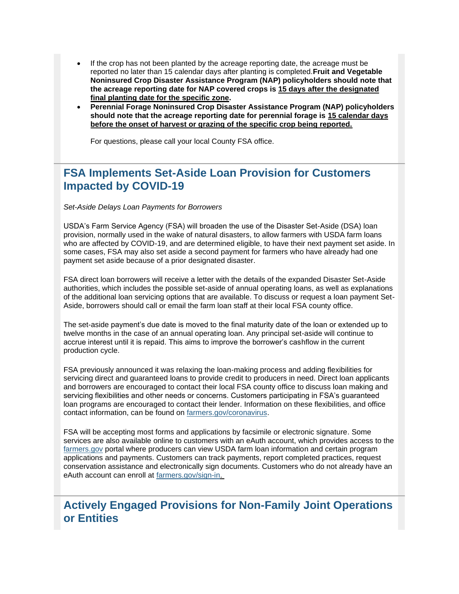- If the crop has not been planted by the acreage reporting date, the acreage must be reported no later than 15 calendar days after planting is completed.**Fruit and Vegetable Noninsured Crop Disaster Assistance Program (NAP) policyholders should note that the acreage reporting date for NAP covered crops is 15 days after the designated final planting date for the specific zone.**
- **Perennial Forage Noninsured Crop Disaster Assistance Program (NAP) policyholders should note that the acreage reporting date for perennial forage is 15 calendar days before the onset of harvest or grazing of the specific crop being reported.**

For questions, please call your local County FSA office.

## <span id="page-7-0"></span>**FSA Implements Set-Aside Loan Provision for Customers Impacted by COVID-19**

*Set-Aside Delays Loan Payments for Borrowers*

USDA's Farm Service Agency (FSA) will broaden the use of the Disaster Set-Aside (DSA) loan provision, normally used in the wake of natural disasters, to allow farmers with USDA farm loans who are affected by COVID-19, and are determined eligible, to have their next payment set aside. In some cases, FSA may also set aside a second payment for farmers who have already had one payment set aside because of a prior designated disaster.

FSA direct loan borrowers will receive a letter with the details of the expanded Disaster Set-Aside authorities, which includes the possible set-aside of annual operating loans, as well as explanations of the additional loan servicing options that are available. To discuss or request a loan payment Set-Aside, borrowers should call or email the farm loan staff at their local FSA county office.

The set-aside payment's due date is moved to the final maturity date of the loan or extended up to twelve months in the case of an annual operating loan. Any principal set-aside will continue to accrue interest until it is repaid. This aims to improve the borrower's cashflow in the current production cycle.

FSA previously announced it was relaxing the loan-making process and adding flexibilities for servicing direct and guaranteed loans to provide credit to producers in need. Direct loan applicants and borrowers are encouraged to contact their local FSA county office to discuss loan making and servicing flexibilities and other needs or concerns. Customers participating in FSA's guaranteed loan programs are encouraged to contact their lender. Information on these flexibilities, and office contact information, can be found on [farmers.gov/coronavirus.](http://www.farmers.gov/coronavirus?utm_medium=email&utm_source=govdelivery)

FSA will be accepting most forms and applications by facsimile or electronic signature. Some services are also available online to customers with an eAuth account, which provides access to the [farmers.gov](http://www.farmers.gov/?utm_medium=email&utm_source=govdelivery) portal where producers can view USDA farm loan information and certain program applications and payments. Customers can track payments, report completed practices, request conservation assistance and electronically sign documents. Customers who do not already have an eAuth account can enroll at [farmers.gov/sign-in.](https://www.farmers.gov/sign-in?utm_medium=email&utm_source=govdelivery)

## <span id="page-7-1"></span>**Actively Engaged Provisions for Non-Family Joint Operations or Entities**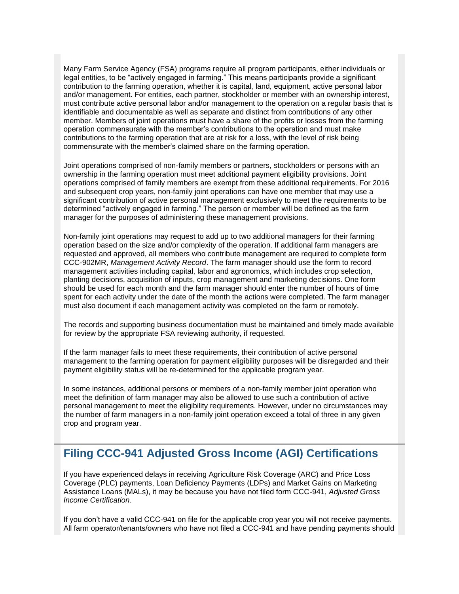Many Farm Service Agency (FSA) programs require all program participants, either individuals or legal entities, to be "actively engaged in farming." This means participants provide a significant contribution to the farming operation, whether it is capital, land, equipment, active personal labor and/or management. For entities, each partner, stockholder or member with an ownership interest, must contribute active personal labor and/or management to the operation on a regular basis that is identifiable and documentable as well as separate and distinct from contributions of any other member. Members of joint operations must have a share of the profits or losses from the farming operation commensurate with the member's contributions to the operation and must make contributions to the farming operation that are at risk for a loss, with the level of risk being commensurate with the member's claimed share on the farming operation.

Joint operations comprised of non-family members or partners, stockholders or persons with an ownership in the farming operation must meet additional payment eligibility provisions. Joint operations comprised of family members are exempt from these additional requirements. For 2016 and subsequent crop years, non-family joint operations can have one member that may use a significant contribution of active personal management exclusively to meet the requirements to be determined "actively engaged in farming." The person or member will be defined as the farm manager for the purposes of administering these management provisions.

Non-family joint operations may request to add up to two additional managers for their farming operation based on the size and/or complexity of the operation. If additional farm managers are requested and approved, all members who contribute management are required to complete form CCC-902MR, *Management Activity Record*. The farm manager should use the form to record management activities including capital, labor and agronomics, which includes crop selection, planting decisions, acquisition of inputs, crop management and marketing decisions. One form should be used for each month and the farm manager should enter the number of hours of time spent for each activity under the date of the month the actions were completed. The farm manager must also document if each management activity was completed on the farm or remotely.

The records and supporting business documentation must be maintained and timely made available for review by the appropriate FSA reviewing authority, if requested.

If the farm manager fails to meet these requirements, their contribution of active personal management to the farming operation for payment eligibility purposes will be disregarded and their payment eligibility status will be re-determined for the applicable program year.

In some instances, additional persons or members of a non-family member joint operation who meet the definition of farm manager may also be allowed to use such a contribution of active personal management to meet the eligibility requirements. However, under no circumstances may the number of farm managers in a non-family joint operation exceed a total of three in any given crop and program year.

## <span id="page-8-0"></span>**Filing CCC-941 Adjusted Gross Income (AGI) Certifications**

If you have experienced delays in receiving Agriculture Risk Coverage (ARC) and Price Loss Coverage (PLC) payments, Loan Deficiency Payments (LDPs) and Market Gains on Marketing Assistance Loans (MALs), it may be because you have not filed form CCC-941, *Adjusted Gross Income Certification*.

If you don't have a valid CCC-941 on file for the applicable crop year you will not receive payments. All farm operator/tenants/owners who have not filed a CCC-941 and have pending payments should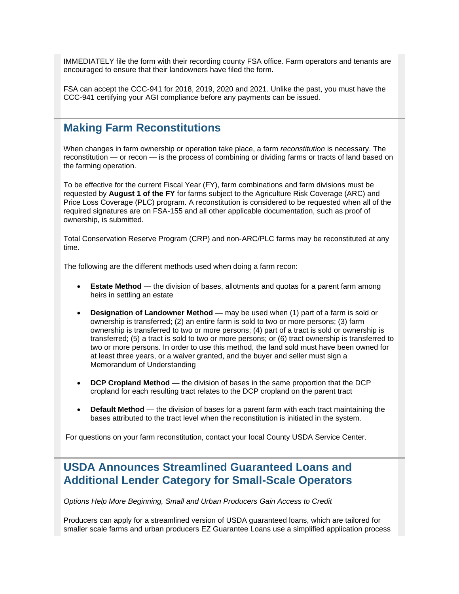IMMEDIATELY file the form with their recording county FSA office. Farm operators and tenants are encouraged to ensure that their landowners have filed the form.

FSA can accept the CCC-941 for 2018, 2019, 2020 and 2021. Unlike the past, you must have the CCC-941 certifying your AGI compliance before any payments can be issued.

### <span id="page-9-0"></span>**Making Farm Reconstitutions**

When changes in farm ownership or operation take place, a farm *reconstitution* is necessary. The reconstitution — or recon — is the process of combining or dividing farms or tracts of land based on the farming operation.

To be effective for the current Fiscal Year (FY), farm combinations and farm divisions must be requested by **August 1 of the FY** for farms subject to the Agriculture Risk Coverage (ARC) and Price Loss Coverage (PLC) program. A reconstitution is considered to be requested when all of the required signatures are on FSA-155 and all other applicable documentation, such as proof of ownership, is submitted.

Total Conservation Reserve Program (CRP) and non-ARC/PLC farms may be reconstituted at any time.

The following are the different methods used when doing a farm recon:

- **Estate Method** the division of bases, allotments and quotas for a parent farm among heirs in settling an estate
- **Designation of Landowner Method** may be used when (1) part of a farm is sold or ownership is transferred; (2) an entire farm is sold to two or more persons; (3) farm ownership is transferred to two or more persons; (4) part of a tract is sold or ownership is transferred; (5) a tract is sold to two or more persons; or (6) tract ownership is transferred to two or more persons. In order to use this method, the land sold must have been owned for at least three years, or a waiver granted, and the buyer and seller must sign a Memorandum of Understanding
- **DCP Cropland Method** the division of bases in the same proportion that the DCP cropland for each resulting tract relates to the DCP cropland on the parent tract
- **Default Method** the division of bases for a parent farm with each tract maintaining the bases attributed to the tract level when the reconstitution is initiated in the system.

For questions on your farm reconstitution, contact your local County USDA Service Center.

## <span id="page-9-1"></span>**USDA Announces Streamlined Guaranteed Loans and Additional Lender Category for Small-Scale Operators**

*Options Help More Beginning, Small and Urban Producers Gain Access to Credit*

Producers can apply for a streamlined version of USDA guaranteed loans, which are tailored for smaller scale farms and urban producers EZ Guarantee Loans use a simplified application process